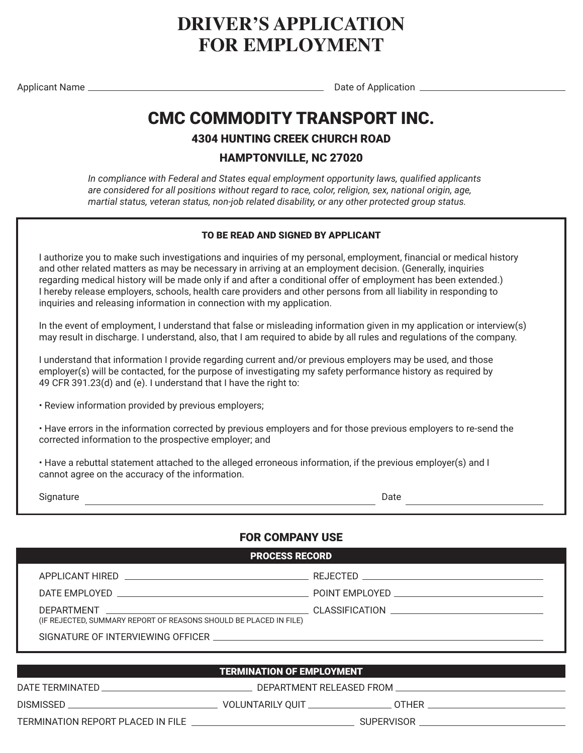# **DRIVER'S APPLICATION FOR EMPLOYMENT**

Applicant Name Date of Application

# CMC COMMODITY TRANSPORT INC.

4304 HUNTING CREEK CHURCH ROAD

### HAMPTONVILLE, NC 27020

*In compliance with Federal and States equal employment opportunity laws, qualified applicants are considered for all positions without regard to race, color, religion, sex, national origin, age, martial status, veteran status, non-job related disability, or any other protected group status.*

#### TO BE READ AND SIGNED BY APPLICANT

I authorize you to make such investigations and inquiries of my personal, employment, financial or medical history and other related matters as may be necessary in arriving at an employment decision. (Generally, inquiries regarding medical history will be made only if and after a conditional offer of employment has been extended.) I hereby release employers, schools, health care providers and other persons from all liability in responding to inquiries and releasing information in connection with my application.

In the event of employment, I understand that false or misleading information given in my application or interview(s) may result in discharge. I understand, also, that I am required to abide by all rules and regulations of the company.

I understand that information I provide regarding current and/or previous employers may be used, and those employer(s) will be contacted, for the purpose of investigating my safety performance history as required by 49 CFR 391.23(d) and (e). I understand that I have the right to:

• Review information provided by previous employers;

• Have errors in the information corrected by previous employers and for those previous employers to re-send the corrected information to the prospective employer; and

• Have a rebuttal statement attached to the alleged erroneous information, if the previous employer(s) and I cannot agree on the accuracy of the information.

Signature **Date Date Date Date Date Date Date Date Date Date Date** 

### FOR COMPANY USE

| <b>PROCESS RECORD</b>                                                                                          |  |  |  |  |  |  |  |
|----------------------------------------------------------------------------------------------------------------|--|--|--|--|--|--|--|
| APPLICANT HIRED AND THE STATE OF THE STATE OF THE STATE OF THE STATE OF THE STATE OF THE STATE OF THE STATE OF |  |  |  |  |  |  |  |
|                                                                                                                |  |  |  |  |  |  |  |
| (IF REJECTED, SUMMARY REPORT OF REASONS SHOULD BE PLACED IN FILE)                                              |  |  |  |  |  |  |  |
| SIGNATURE OF INTERVIEWING OFFICER SERVICES AND THE SERVICES OF INTERVIEWING OFFICER                            |  |  |  |  |  |  |  |
|                                                                                                                |  |  |  |  |  |  |  |

### TERMINATION OF EMPLOYMENT AND RESERVE THE RESERVE TO A RESERVE THE RESERVE THAT A RESERVE THAT AN INCOMENTATION

DATE TERMINATED DEPARTMENT RELEASED FROM

DISMISSED VOLUNTARILY QUIT OTHER

TERMINATION REPORT PLACED IN FILE SUPERVISOR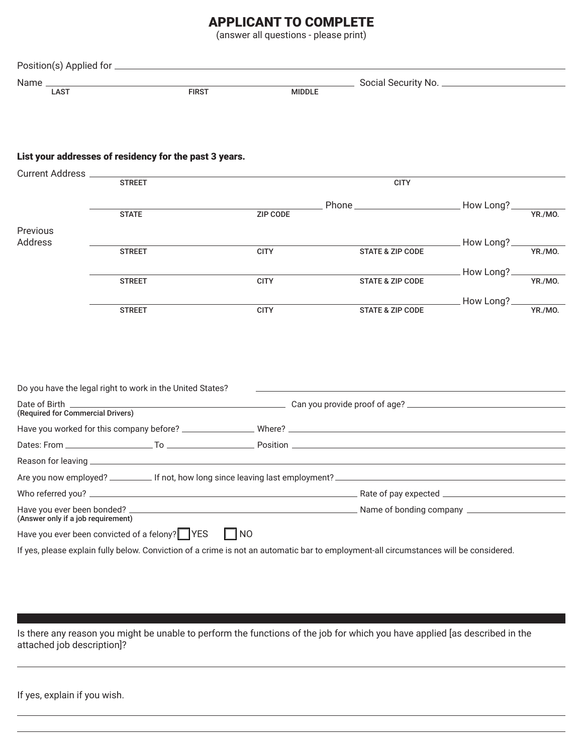## APPLICANT TO COMPLETE

(answer all questions - please print)

| Position(s) Applied for _ |      |              |               |                       |  |
|---------------------------|------|--------------|---------------|-----------------------|--|
| Name                      |      |              |               | Social Security No. _ |  |
|                           | LAST | <b>FIRST</b> | <b>MIDDLE</b> |                       |  |

#### List your addresses of residency for the past 3 years.

| Current Address _____              |                                                                                                                                       |                 |                                                                                                                         |                |         |
|------------------------------------|---------------------------------------------------------------------------------------------------------------------------------------|-----------------|-------------------------------------------------------------------------------------------------------------------------|----------------|---------|
|                                    | <b>STREET</b>                                                                                                                         |                 | <b>CITY</b>                                                                                                             |                |         |
|                                    |                                                                                                                                       |                 |                                                                                                                         |                |         |
|                                    | <b>STATE</b>                                                                                                                          | <b>ZIP CODE</b> |                                                                                                                         |                |         |
| Previous<br>Address                |                                                                                                                                       |                 |                                                                                                                         | How Long?_     |         |
|                                    | <b>STREET</b>                                                                                                                         | <b>CITY</b>     | <b>STATE &amp; ZIP CODE</b>                                                                                             |                | YR./MO. |
|                                    |                                                                                                                                       |                 |                                                                                                                         | How Long?_     |         |
|                                    | <b>STREET</b>                                                                                                                         | <b>CITY</b>     | <b>STATE &amp; ZIP CODE</b>                                                                                             |                | YR./MO. |
|                                    |                                                                                                                                       |                 |                                                                                                                         | ____ How Long? |         |
|                                    | <b>STREET</b>                                                                                                                         | <b>CITY</b>     | <b>STATE &amp; ZIP CODE</b>                                                                                             |                | YR./MO. |
|                                    |                                                                                                                                       |                 |                                                                                                                         |                |         |
|                                    |                                                                                                                                       |                 |                                                                                                                         |                |         |
|                                    |                                                                                                                                       |                 |                                                                                                                         |                |         |
|                                    |                                                                                                                                       |                 |                                                                                                                         |                |         |
|                                    | Do you have the legal right to work in the United States?                                                                             |                 | <u>some started and the started and the started and the started and the started and the started and the started and</u> |                |         |
| (Required for Commercial Drivers)  |                                                                                                                                       |                 |                                                                                                                         |                |         |
|                                    |                                                                                                                                       |                 |                                                                                                                         |                |         |
|                                    |                                                                                                                                       |                 |                                                                                                                         |                |         |
|                                    |                                                                                                                                       |                 |                                                                                                                         |                |         |
|                                    | Are you now employed? _____________ If not, how long since leaving last employment?                                                   |                 |                                                                                                                         |                |         |
|                                    |                                                                                                                                       |                 |                                                                                                                         |                |         |
| (Answer only if a job requirement) |                                                                                                                                       |                 |                                                                                                                         |                |         |
|                                    | Have you ever been convicted of a felony? YES                                                                                         | $\Box$ NO       |                                                                                                                         |                |         |
|                                    | If yes, please explain fully below. Conviction of a crime is not an automatic bar to employment-all circumstances will be considered. |                 |                                                                                                                         |                |         |
|                                    |                                                                                                                                       |                 |                                                                                                                         |                |         |

Is there any reason you might be unable to perform the functions of the job for which you have applied [as described in the attached job description]?

If yes, explain if you wish.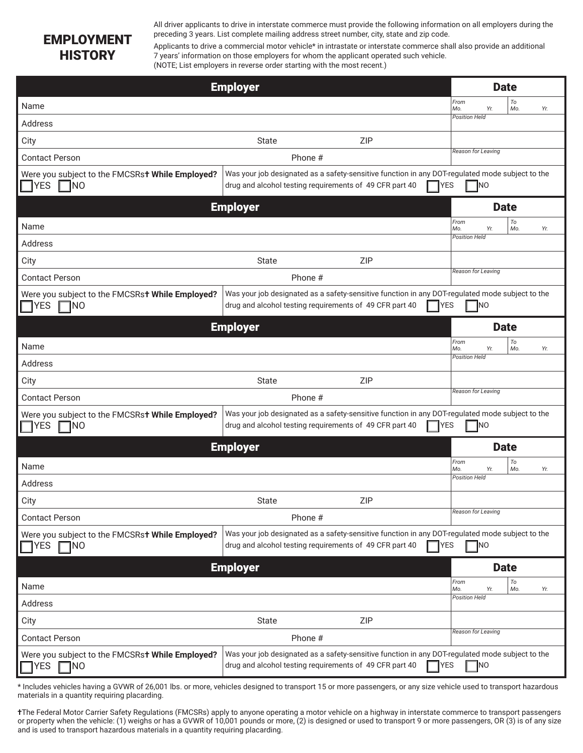## EMPLOYMENT **HISTORY**

All driver applicants to drive in interstate commerce must provide the following information on all employers during the preceding 3 years. List complete mailing address street number, city, state and zip code.

Applicants to drive a commercial motor vehicle\* in intrastate or interstate commerce shall also provide an additional 7 years' information on those employers for whom the applicant operated such vehicle. (NOTE; List employers in reverse order starting with the most recent.)

|                                                                            | <b>Employer</b>                                         |         |                                                                                                                 |                           | <b>Date</b>      |
|----------------------------------------------------------------------------|---------------------------------------------------------|---------|-----------------------------------------------------------------------------------------------------------------|---------------------------|------------------|
| Name                                                                       |                                                         |         |                                                                                                                 | From<br>Mo.<br>Yr.        | To<br>Mo.<br>Yr. |
| Address                                                                    |                                                         |         |                                                                                                                 | <b>Position Held</b>      |                  |
| City                                                                       | <b>State</b>                                            |         | <b>ZIP</b>                                                                                                      |                           |                  |
| <b>Contact Person</b>                                                      |                                                         | Phone # |                                                                                                                 | Reason for Leaving        |                  |
| Were you subject to the FMCSRst While Employed?<br>$\neg$ Yes<br>$\Box$ NO | drug and alcohol testing requirements of 49 CFR part 40 |         | Was your job designated as a safety-sensitive function in any DOT-regulated mode subject to the<br><b>TYES</b>  | N                         |                  |
|                                                                            | <b>Employer</b>                                         |         |                                                                                                                 |                           | <b>Date</b>      |
| Name                                                                       |                                                         |         |                                                                                                                 | From<br>Yr.<br>Mo.        | To<br>Mo.<br>Yr. |
| Address                                                                    |                                                         |         |                                                                                                                 | <b>Position Held</b>      |                  |
| City                                                                       | <b>State</b>                                            |         | <b>ZIP</b>                                                                                                      |                           |                  |
| <b>Contact Person</b>                                                      |                                                         | Phone # |                                                                                                                 | Reason for Leaving        |                  |
| Were you subject to the FMCSRst While Employed?<br><b>YES</b><br>INO       | drug and alcohol testing requirements of 49 CFR part 40 |         | Was your job designated as a safety-sensitive function in any DOT-regulated mode subject to the<br><b>YES</b>   | <b>NO</b>                 |                  |
|                                                                            | <b>Employer</b>                                         |         |                                                                                                                 |                           | <b>Date</b>      |
| Name                                                                       |                                                         |         |                                                                                                                 | From<br>Mo.<br>Yr.        | To<br>Mo.<br>Yr. |
| Address                                                                    |                                                         |         |                                                                                                                 | <b>Position Held</b>      |                  |
| City                                                                       | State                                                   |         | <b>ZIP</b>                                                                                                      |                           |                  |
| <b>Contact Person</b>                                                      |                                                         | Phone # |                                                                                                                 | Reason for Leaving        |                  |
| Were you subject to the FMCSRst While Employed?<br><b>TYES</b><br>INO      | drug and alcohol testing requirements of 49 CFR part 40 |         | Was your job designated as a safety-sensitive function in any DOT-regulated mode subject to the<br><b>I</b> YES | <b>NO</b>                 |                  |
|                                                                            | <b>Employer</b>                                         |         |                                                                                                                 |                           | <b>Date</b>      |
| Name                                                                       |                                                         |         |                                                                                                                 | From<br>Mo.<br>Yr.        | To<br>Mo.<br>Yr. |
| Address                                                                    |                                                         |         |                                                                                                                 | <b>Position Held</b>      |                  |
| City                                                                       | <b>State</b>                                            |         | <b>ZIP</b>                                                                                                      |                           |                  |
| <b>Contact Person</b>                                                      |                                                         | Phone # |                                                                                                                 | Reason for Leaving        |                  |
| Were you subject to the FMCSRst While Employed?<br>¶YES<br><b>NO</b>       | drug and alcohol testing requirements of 49 CFR part 40 |         | Was your job designated as a safety-sensitive function in any DOT-regulated mode subject to the<br><b>YES</b>   | `Ino                      |                  |
|                                                                            | <b>Employer</b>                                         |         |                                                                                                                 |                           | <b>Date</b>      |
| Name                                                                       |                                                         |         |                                                                                                                 | From<br>Yr.<br>Mo.        | To<br>Mo.<br>Yr. |
| Address                                                                    |                                                         |         |                                                                                                                 | <b>Position Held</b>      |                  |
| City                                                                       | <b>State</b>                                            |         | <b>ZIP</b>                                                                                                      |                           |                  |
| <b>Contact Person</b>                                                      |                                                         | Phone # |                                                                                                                 | <b>Reason for Leaving</b> |                  |
| Were you subject to the FMCSRst While Employed?<br>YES<br>NO               | drug and alcohol testing requirements of 49 CFR part 40 |         | Was your job designated as a safety-sensitive function in any DOT-regulated mode subject to the<br>YES          | <b>NO</b>                 |                  |

\* Includes vehicles having a GVWR of 26,001 lbs. or more, vehicles designed to transport 15 or more passengers, or any size vehicle used to transport hazardous materials in a quantity requiring placarding.

**†**The Federal Motor Carrier Safety Regulations (FMCSRs) apply to anyone operating a motor vehicle on a highway in interstate commerce to transport passengers or property when the vehicle: (1) weighs or has a GVWR of 10,001 pounds or more, (2) is designed or used to transport 9 or more passengers, OR (3) is of any size and is used to transport hazardous materials in a quantity requiring placarding.